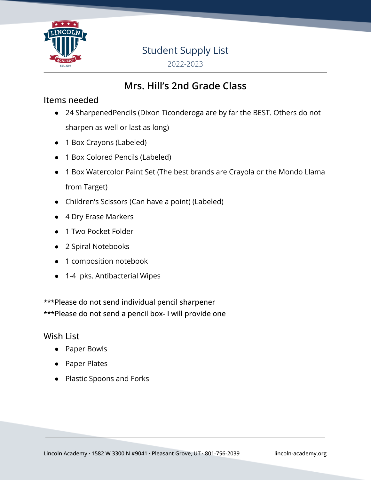

# Student Supply List

2022-2023

# **Mrs. Hill's 2nd Grade Class**

### Items needed

- 24 SharpenedPencils (Dixon Ticonderoga are by far the BEST. Others do not sharpen as well or last as long)
- 1 Box Crayons (Labeled)
- 1 Box Colored Pencils (Labeled)
- 1 Box Watercolor Paint Set (The best brands are Crayola or the Mondo Llama from Target)
- Children's Scissors (Can have a point) (Labeled)
- 4 Dry Erase Markers
- 1 Two Pocket Folder
- 2 Spiral Notebooks
- 1 composition notebook
- 1-4 pks. Antibacterial Wipes

\*\*\*Please do not send individual pencil sharpener \*\*\*Please do not send a pencil box- I will provide one

#### Wish List

- Paper Bowls
- Paper Plates
- Plastic Spoons and Forks